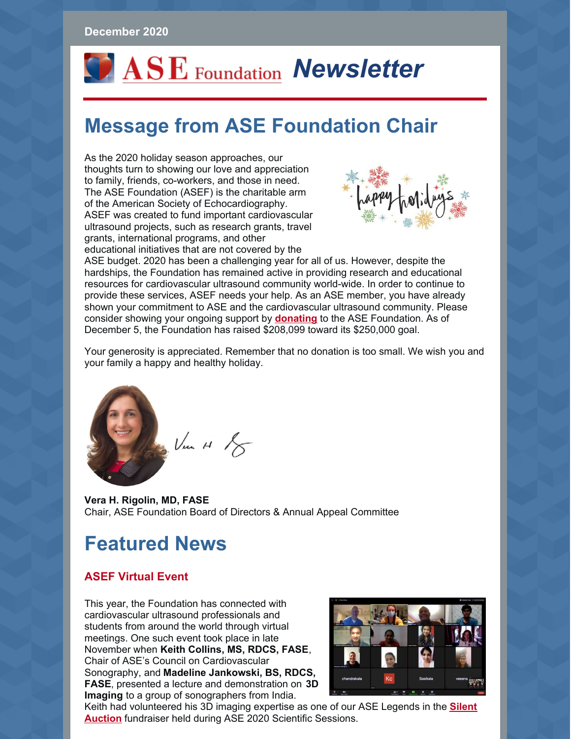# *OASE* Foundation **Newsletter**

## **Message from ASE Foundation Chair**

As the 2020 holiday season approaches, our thoughts turn to showing our love and appreciation to family, friends, co-workers, and those in need. The ASE Foundation (ASEF) is the charitable arm of the American Society of Echocardiography. ASEF was created to fund important cardiovascular ultrasound projects, such as research grants, travel grants, international programs, and other educational initiatives that are not covered by the



ASE budget. 2020 has been a challenging year for all of us. However, despite the hardships, the Foundation has remained active in providing research and educational resources for cardiovascular ultrasound community world-wide. In order to continue to provide these services, ASEF needs your help. As an ASE member, you have already shown your commitment to ASE and the cardiovascular ultrasound community. Please consider showing your ongoing support by **[donating](https://asecho-prod.force.com/OrderApi__campaign?id=a2W4A000005a6jtUAA&site=a2H4A000002dA1fUAE&sourceCode=a344A000000En0iQAC)** to the ASE Foundation. As of December 5, the Foundation has raised \$208,099 toward its \$250,000 goal.

Your generosity is appreciated. Remember that no donation is too small. We wish you and your family a happy and healthy holiday.



**Vera H. Rigolin, MD, FASE** Chair, ASE Foundation Board of Directors & Annual Appeal Committee

### **Featured News**

### **ASEF Virtual Event**

This year, the Foundation has connected with cardiovascular ultrasound professionals and students from around the world through virtual meetings. One such event took place in late November when **Keith Collins, MS, RDCS, FASE**, Chair of ASE's Council on Cardiovascular Sonography, and **Madeline Jankowski, BS, RDCS, FASE**, presented a lecture and demonstration on **3D Imaging** to a group of sonographers from India.



Keith had [volunteered](https://www.asefoundation.org/silentauction/) his 3D imaging expertise as one of our ASE Legends in the **Silent Auction** fundraiser held during ASE 2020 Scientific Sessions.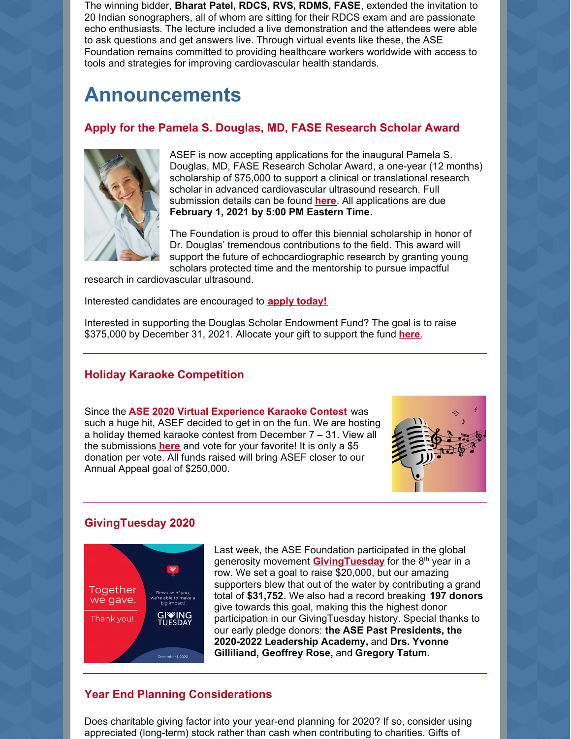The winning bidder, **Bharat Patel, RDCS, RVS, RDMS, FASE**, extended the invitation to 20 Indian sonographers, all of whom are sitting for their RDCS exam and are passionate echo enthusiasts. The lecture included a live demonstration and the attendees were able to ask questions and get answers live. Through virtual events like these, the ASE Foundation remains committed to providing healthcare workers worldwide with access to tools and strategies for improving cardiovascular health standards.

### **Announcements**

### **Apply for the Pamela S. Douglas, MD, FASE Research Scholar Award**



ASEF is now accepting applications for the inaugural Pamela S. Douglas, MD, FASE Research Scholar Award, a one-year (12 months) scholarship of \$75,000 to support a clinical or translational research scholar in advanced cardiovascular ultrasound research. Full submission details can be found **[here](https://www.asefoundation.org/pamelasdouglasresearchscholar/)**. All applications are due **February 1, 2021 by 5:00 PM Eastern Time**.

The Foundation is proud to offer this biennial scholarship in honor of Dr. Douglas' tremendous contributions to the field. This award will support the future of echocardiographic research by granting young scholars protected time and the mentorship to pursue impactful

research in cardiovascular ultrasound.

Interested candidates are encouraged to **apply [today!](https://www.asefoundation.org/pamelasdouglasresearchscholar/)**

Interested in supporting the Douglas Scholar Endowment Fund? The goal is to raise \$375,000 by December 31, 2021. Allocate your gift to support the fund **[here](https://asecho-prod.force.com/OrderApi__campaign?id=a2W4A000008p3XGUAY&site=a2H4A000002dA1fUAE&sourceCode=a344A000000d1AqQAI)**.

#### **Holiday Karaoke Competition**

Since the **ASE 2020 Virtual [Experience](https://www.youtube.com/watch?v=EJKiPhluIP4&feature=youtu.be) Karaoke Contest** was such a huge hit, ASEF decided to get in on the fun. We are hosting a holiday themed karaoke contest from December 7 – 31. View all the submissions **[here](https://www.asefoundation.org/holiday-karaoke-competition/)** and vote for your favorite! It is only a \$5 donation per vote. All funds raised will bring ASEF closer to our Annual Appeal goal of \$250,000.



#### **GivingTuesday 2020**



Last week, the ASE Foundation participated in the global generosity movement **[GivingTuesday](https://www.givingtuesday.org/)** for the 8 th year in a row. We set a goal to raise \$20,000, but our amazing supporters blew that out of the water by contributing a grand total of **\$31,752**. We also had a record breaking **197 donors** give towards this goal, making this the highest donor participation in our GivingTuesday history. Special thanks to our early pledge donors: **the ASE Past Presidents, the 2020-2022 Leadership Academy,** and **Drs. Yvonne Gilliliand, Geoffrey Rose,** and **Gregory Tatum**.

### **Year End Planning Considerations**

Does charitable giving factor into your year-end planning for 2020? If so, consider using appreciated (long-term) stock rather than cash when contributing to charities. Gifts of